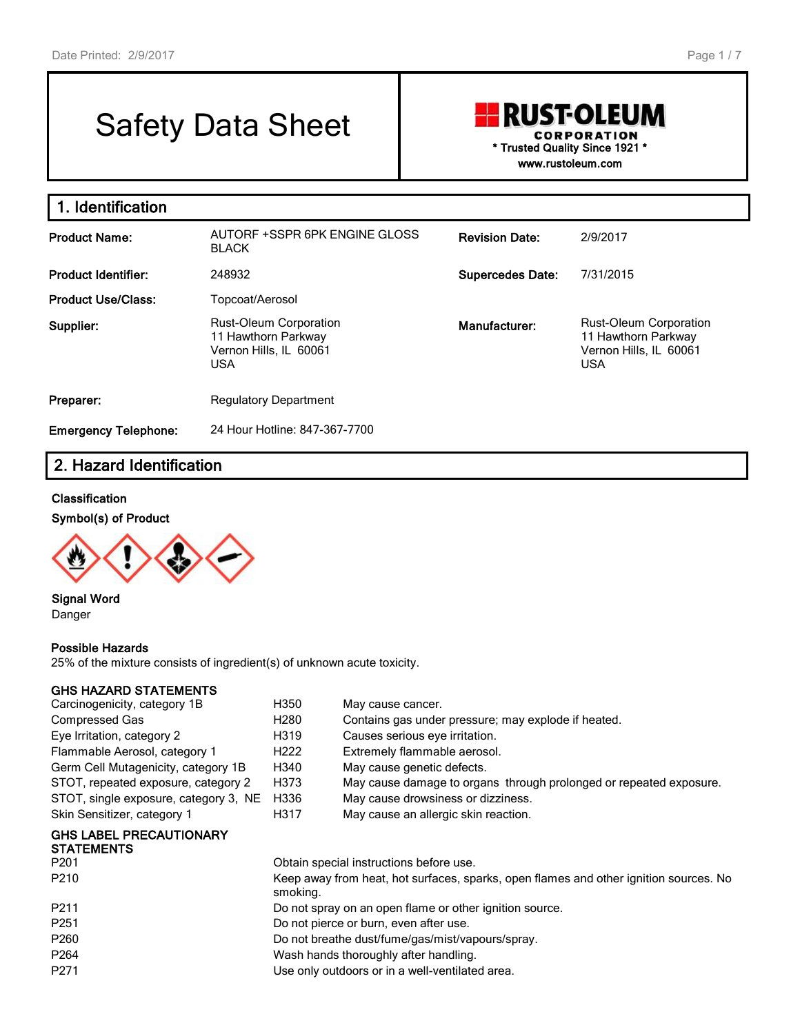# Safety Data Sheet

## **RUST-OLEUM CORPORATION \* Trusted Quality Since 1921 \* www.rustoleum.com**

**1. Identification Product Name:** AUTORF +SSPR 6PK ENGINE GLOSS BLACK **Revision Date:** 2/9/2017 **Product Identifier:** 248932 **Supercedes Date:** 7/31/2015 **Product Use/Class:** Topcoat/Aerosol **Supplier:** Rust-Oleum Corporation 11 Hawthorn Parkway Vernon Hills, IL 60061 USA **Manufacturer:** Rust-Oleum Corporation 11 Hawthorn Parkway Vernon Hills, IL 60061 USA **Preparer:** Regulatory Department **Emergency Telephone:** 24 Hour Hotline: 847-367-7700

## **2. Hazard Identification**

#### **Classification**

#### **Symbol(s) of Product**



**Signal Word** Danger

#### **Possible Hazards**

25% of the mixture consists of ingredient(s) of unknown acute toxicity.

#### **GHS HAZARD STATEMENTS**

| H350                                                                                              | May cause cancer.                                                  |  |  |
|---------------------------------------------------------------------------------------------------|--------------------------------------------------------------------|--|--|
| H <sub>280</sub>                                                                                  | Contains gas under pressure; may explode if heated.                |  |  |
| H319                                                                                              | Causes serious eye irritation.                                     |  |  |
| H <sub>222</sub>                                                                                  | Extremely flammable aerosol.                                       |  |  |
| H340                                                                                              | May cause genetic defects.                                         |  |  |
| H373                                                                                              | May cause damage to organs through prolonged or repeated exposure. |  |  |
| H336                                                                                              | May cause drowsiness or dizziness.                                 |  |  |
| H317                                                                                              | May cause an allergic skin reaction.                               |  |  |
|                                                                                                   |                                                                    |  |  |
|                                                                                                   |                                                                    |  |  |
|                                                                                                   | Obtain special instructions before use.                            |  |  |
| Keep away from heat, hot surfaces, sparks, open flames and other ignition sources. No<br>smoking. |                                                                    |  |  |
| Do not spray on an open flame or other ignition source.                                           |                                                                    |  |  |
| Do not pierce or burn, even after use.                                                            |                                                                    |  |  |
| Do not breathe dust/fume/gas/mist/vapours/spray.                                                  |                                                                    |  |  |
| Wash hands thoroughly after handling.                                                             |                                                                    |  |  |
| Use only outdoors or in a well-ventilated area.                                                   |                                                                    |  |  |
|                                                                                                   |                                                                    |  |  |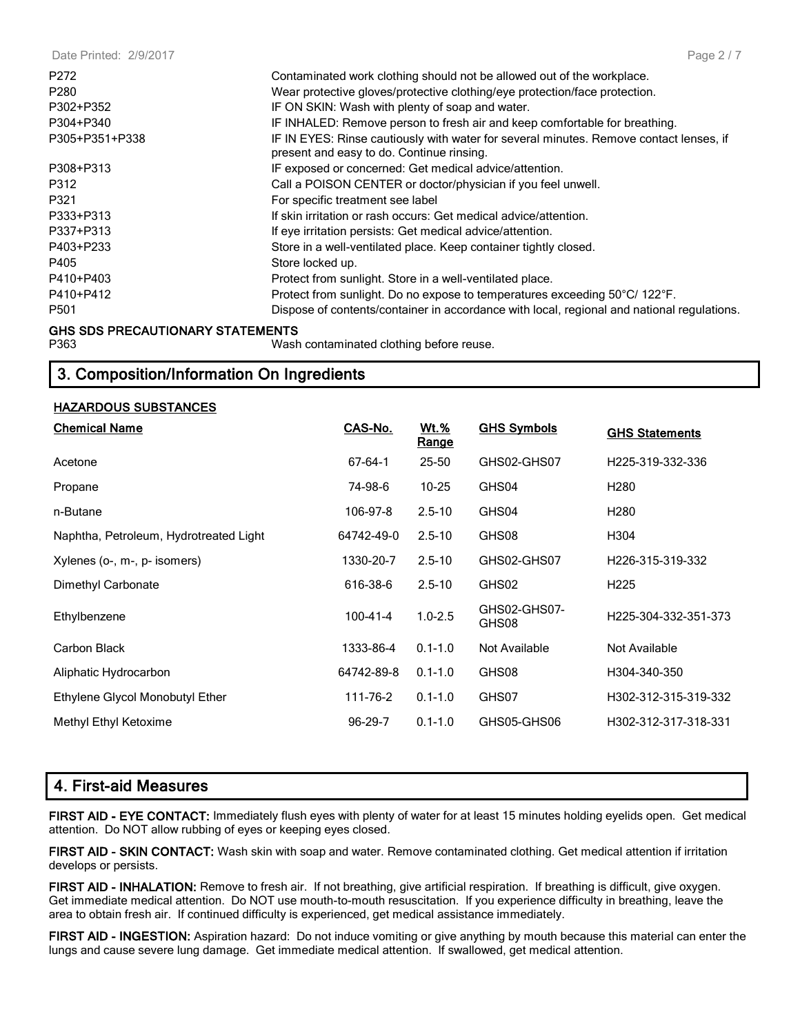| Date Printed: 2/9/2017                  | Page 2 / 7                                                                                                                                           |
|-----------------------------------------|------------------------------------------------------------------------------------------------------------------------------------------------------|
| P272<br>P <sub>280</sub>                | Contaminated work clothing should not be allowed out of the workplace.<br>Wear protective gloves/protective clothing/eye protection/face protection. |
| P302+P352                               | IF ON SKIN: Wash with plenty of soap and water.                                                                                                      |
| P304+P340                               | IF INHALED: Remove person to fresh air and keep comfortable for breathing.                                                                           |
| P305+P351+P338                          | IF IN EYES: Rinse cautiously with water for several minutes. Remove contact lenses, if<br>present and easy to do. Continue rinsing.                  |
| P308+P313                               | IF exposed or concerned: Get medical advice/attention.                                                                                               |
| P312                                    | Call a POISON CENTER or doctor/physician if you feel unwell.                                                                                         |
| P321                                    | For specific treatment see label                                                                                                                     |
| P333+P313                               | If skin irritation or rash occurs: Get medical advice/attention.                                                                                     |
| P337+P313                               | If eye irritation persists: Get medical advice/attention.                                                                                            |
| P403+P233                               | Store in a well-ventilated place. Keep container tightly closed.                                                                                     |
| P405                                    | Store locked up.                                                                                                                                     |
| P410+P403                               | Protect from sunlight. Store in a well-ventilated place.                                                                                             |
| P410+P412                               | Protect from sunlight. Do no expose to temperatures exceeding 50°C/ 122°F.                                                                           |
| P <sub>501</sub>                        | Dispose of contents/container in accordance with local, regional and national regulations.                                                           |
| <b>GHS SDS PRECAUTIONARY STATEMENTS</b> |                                                                                                                                                      |

P363 Wash contaminated clothing before reuse.

## **3. Composition/Information On Ingredients**

#### **HAZARDOUS SUBSTANCES**

| <b>Chemical Name</b>                   | CAS-No.        | <u>Wt.%</u><br>Range | <b>GHS Symbols</b>    | <b>GHS Statements</b> |
|----------------------------------------|----------------|----------------------|-----------------------|-----------------------|
| Acetone                                | 67-64-1        | 25-50                | GHS02-GHS07           | H225-319-332-336      |
| Propane                                | 74-98-6        | 10-25                | GHS04                 | H <sub>280</sub>      |
| n-Butane                               | 106-97-8       | $2.5 - 10$           | GHS04                 | H <sub>280</sub>      |
| Naphtha, Petroleum, Hydrotreated Light | 64742-49-0     | $2.5 - 10$           | GHS08                 | H304                  |
| Xylenes (o-, m-, p- isomers)           | 1330-20-7      | $2.5 - 10$           | GHS02-GHS07           | H226-315-319-332      |
| Dimethyl Carbonate                     | 616-38-6       | $2.5 - 10$           | GHS02                 | H <sub>225</sub>      |
| Ethylbenzene                           | $100 - 41 - 4$ | $1.0 - 2.5$          | GHS02-GHS07-<br>GHS08 | H225-304-332-351-373  |
| Carbon Black                           | 1333-86-4      | $0.1 - 1.0$          | Not Available         | Not Available         |
| Aliphatic Hydrocarbon                  | 64742-89-8     | $0.1 - 1.0$          | GHS08                 | H304-340-350          |
| Ethylene Glycol Monobutyl Ether        | 111-76-2       | $0.1 - 1.0$          | GHS07                 | H302-312-315-319-332  |
| Methyl Ethyl Ketoxime                  | $96 - 29 - 7$  | $0.1 - 1.0$          | GHS05-GHS06           | H302-312-317-318-331  |

## **4. First-aid Measures**

**FIRST AID - EYE CONTACT:** Immediately flush eyes with plenty of water for at least 15 minutes holding eyelids open. Get medical attention. Do NOT allow rubbing of eyes or keeping eyes closed.

**FIRST AID - SKIN CONTACT:** Wash skin with soap and water. Remove contaminated clothing. Get medical attention if irritation develops or persists.

**FIRST AID - INHALATION:** Remove to fresh air. If not breathing, give artificial respiration. If breathing is difficult, give oxygen. Get immediate medical attention. Do NOT use mouth-to-mouth resuscitation. If you experience difficulty in breathing, leave the area to obtain fresh air. If continued difficulty is experienced, get medical assistance immediately.

**FIRST AID - INGESTION:** Aspiration hazard: Do not induce vomiting or give anything by mouth because this material can enter the lungs and cause severe lung damage. Get immediate medical attention. If swallowed, get medical attention.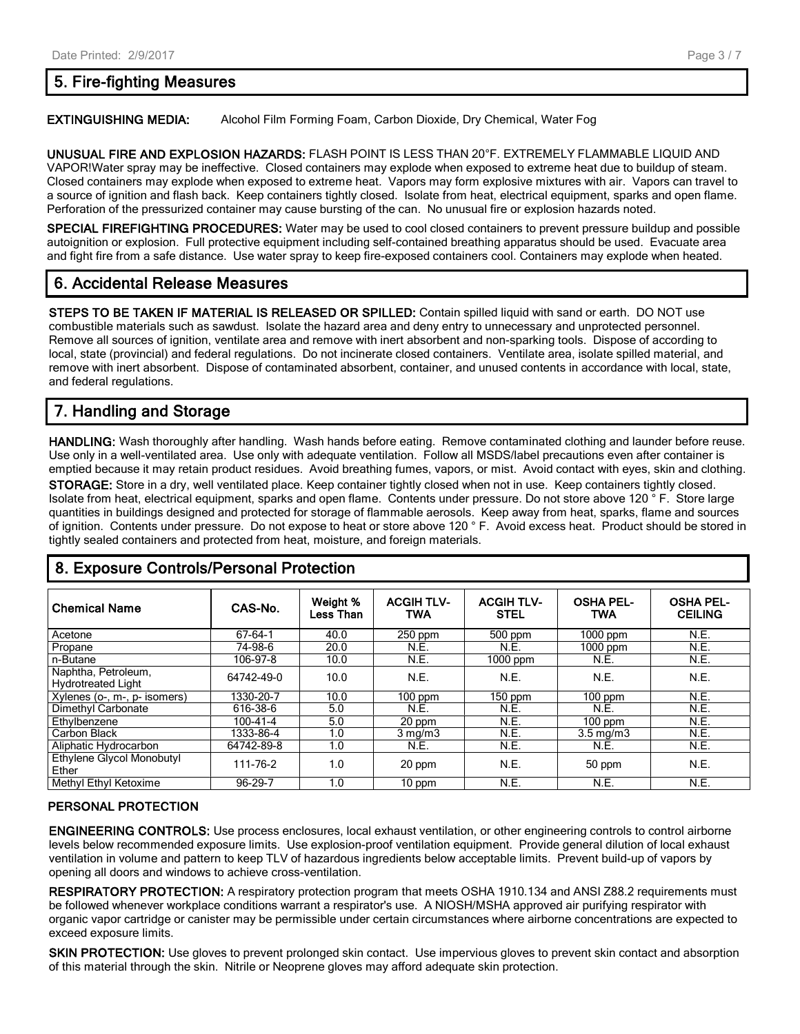## **5. Fire-fighting Measures**

#### **EXTINGUISHING MEDIA:** Alcohol Film Forming Foam, Carbon Dioxide, Dry Chemical, Water Fog

**UNUSUAL FIRE AND EXPLOSION HAZARDS:** FLASH POINT IS LESS THAN 20°F. EXTREMELY FLAMMABLE LIQUID AND VAPOR!Water spray may be ineffective. Closed containers may explode when exposed to extreme heat due to buildup of steam. Closed containers may explode when exposed to extreme heat. Vapors may form explosive mixtures with air. Vapors can travel to a source of ignition and flash back. Keep containers tightly closed. Isolate from heat, electrical equipment, sparks and open flame. Perforation of the pressurized container may cause bursting of the can. No unusual fire or explosion hazards noted.

**SPECIAL FIREFIGHTING PROCEDURES:** Water may be used to cool closed containers to prevent pressure buildup and possible autoignition or explosion. Full protective equipment including self-contained breathing apparatus should be used. Evacuate area and fight fire from a safe distance. Use water spray to keep fire-exposed containers cool. Containers may explode when heated.

## **6. Accidental Release Measures**

**STEPS TO BE TAKEN IF MATERIAL IS RELEASED OR SPILLED:** Contain spilled liquid with sand or earth. DO NOT use combustible materials such as sawdust. Isolate the hazard area and deny entry to unnecessary and unprotected personnel. Remove all sources of ignition, ventilate area and remove with inert absorbent and non-sparking tools. Dispose of according to local, state (provincial) and federal regulations. Do not incinerate closed containers. Ventilate area, isolate spilled material, and remove with inert absorbent. Dispose of contaminated absorbent, container, and unused contents in accordance with local, state, and federal regulations.

## **7. Handling and Storage**

**HANDLING:** Wash thoroughly after handling. Wash hands before eating. Remove contaminated clothing and launder before reuse. Use only in a well-ventilated area. Use only with adequate ventilation. Follow all MSDS/label precautions even after container is emptied because it may retain product residues. Avoid breathing fumes, vapors, or mist. Avoid contact with eyes, skin and clothing. **STORAGE:** Store in a dry, well ventilated place. Keep container tightly closed when not in use. Keep containers tightly closed. Isolate from heat, electrical equipment, sparks and open flame. Contents under pressure. Do not store above 120 ° F. Store large quantities in buildings designed and protected for storage of flammable aerosols. Keep away from heat, sparks, flame and sources of ignition. Contents under pressure. Do not expose to heat or store above 120 ° F. Avoid excess heat. Product should be stored in tightly sealed containers and protected from heat, moisture, and foreign materials.

#### **Chemical Name CAS-No. Weight % Less Than ACGIH TLV-TWA ACGIH TLV-STEL OSHA PEL-TWA OSHA PEL-CEILING** Acetone 67-64-1 40.0 250 ppm 500 ppm 1000 ppm N.E. Propane 74-98-6 20.0 N.E. N.E. 1000 ppm N.E. n-Butane 106-97-8 10.0 N.E. 1000 ppm N.E. N.E. Naphtha, Petroleum, Naphling, Feroleum, 1988. [64742-49-0 | 10.0 | N.E. | N.E. | N.E. | N.E. | N.E. | N.E. | N.E. | N.E. Xylenes (o-, m-, p- isomers) 1330-20-7 10.0 100 ppm 150 ppm 100 ppm N.E. Dimethyl Carbonate 616-38-6 5.0 N.E. N.E. N.E. N.E. Ethylbenzene 100-41-4 5.0 20 ppm N.E. 100 ppm N.E. Carbon Black 1333-86-4 1.0 3 mg/m3 N.E. 3.5 mg/m3 N.E. Aliphatic Hydrocarbon 64742-89-8 1.0 N.E. N.E. N.E. N.E. N.E. N.E. Ethylene Glycol Monobutyl Ether Chycol Monobaty (111-76-2 | 1.0 | 20 ppm | N.E. | 50 ppm | N.E.<br>Ether Methyl Ethyl Ketoxime **96-29-7** 1.0 10 ppm N.E. N.E. N.E. N.E.

## **8. Exposure Controls/Personal Protection**

#### **PERSONAL PROTECTION**

**ENGINEERING CONTROLS:** Use process enclosures, local exhaust ventilation, or other engineering controls to control airborne levels below recommended exposure limits. Use explosion-proof ventilation equipment. Provide general dilution of local exhaust ventilation in volume and pattern to keep TLV of hazardous ingredients below acceptable limits. Prevent build-up of vapors by opening all doors and windows to achieve cross-ventilation.

**RESPIRATORY PROTECTION:** A respiratory protection program that meets OSHA 1910.134 and ANSI Z88.2 requirements must be followed whenever workplace conditions warrant a respirator's use. A NIOSH/MSHA approved air purifying respirator with organic vapor cartridge or canister may be permissible under certain circumstances where airborne concentrations are expected to exceed exposure limits.

**SKIN PROTECTION:** Use gloves to prevent prolonged skin contact. Use impervious gloves to prevent skin contact and absorption of this material through the skin. Nitrile or Neoprene gloves may afford adequate skin protection.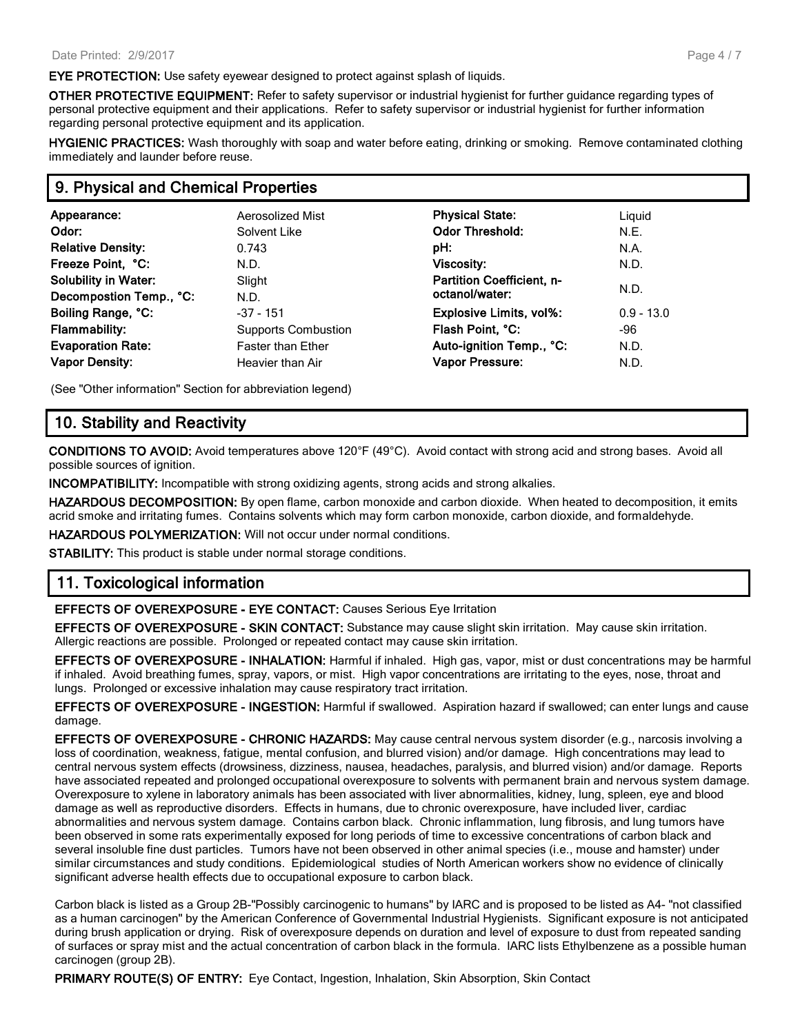**EYE PROTECTION:** Use safety eyewear designed to protect against splash of liquids.

**OTHER PROTECTIVE EQUIPMENT:** Refer to safety supervisor or industrial hygienist for further guidance regarding types of personal protective equipment and their applications. Refer to safety supervisor or industrial hygienist for further information regarding personal protective equipment and its application.

**HYGIENIC PRACTICES:** Wash thoroughly with soap and water before eating, drinking or smoking. Remove contaminated clothing immediately and launder before reuse.

### **9. Physical and Chemical Properties**

| Appearance:                 | Aerosolized Mist           | <b>Physical State:</b>    | Liguid       |  |
|-----------------------------|----------------------------|---------------------------|--------------|--|
| Odor:                       | Solvent Like               | <b>Odor Threshold:</b>    | N.E.         |  |
| <b>Relative Density:</b>    | 0.743                      | pH:                       | N.A.         |  |
| Freeze Point, °C:           | N.D.                       | <b>Viscosity:</b>         | N.D.         |  |
| <b>Solubility in Water:</b> | Slight                     | Partition Coefficient, n- | N.D.         |  |
| Decompostion Temp., °C:     | N.D.                       | octanol/water:            |              |  |
| Boiling Range, °C:          | $-37 - 151$                | Explosive Limits, vol%:   | $0.9 - 13.0$ |  |
| <b>Flammability:</b>        | <b>Supports Combustion</b> | Flash Point, °C:          | -96          |  |
| <b>Evaporation Rate:</b>    | <b>Faster than Ether</b>   | Auto-ignition Temp., °C:  | N.D.         |  |
| <b>Vapor Density:</b>       | Heavier than Air           | Vapor Pressure:           | N.D.         |  |
|                             |                            |                           |              |  |

(See "Other information" Section for abbreviation legend)

### **10. Stability and Reactivity**

**CONDITIONS TO AVOID:** Avoid temperatures above 120°F (49°C). Avoid contact with strong acid and strong bases. Avoid all possible sources of ignition.

**INCOMPATIBILITY:** Incompatible with strong oxidizing agents, strong acids and strong alkalies.

**HAZARDOUS DECOMPOSITION:** By open flame, carbon monoxide and carbon dioxide. When heated to decomposition, it emits acrid smoke and irritating fumes. Contains solvents which may form carbon monoxide, carbon dioxide, and formaldehyde.

**HAZARDOUS POLYMERIZATION:** Will not occur under normal conditions.

**STABILITY:** This product is stable under normal storage conditions.

#### **11. Toxicological information**

**EFFECTS OF OVEREXPOSURE - EYE CONTACT:** Causes Serious Eye Irritation

**EFFECTS OF OVEREXPOSURE - SKIN CONTACT:** Substance may cause slight skin irritation. May cause skin irritation. Allergic reactions are possible. Prolonged or repeated contact may cause skin irritation.

**EFFECTS OF OVEREXPOSURE - INHALATION:** Harmful if inhaled. High gas, vapor, mist or dust concentrations may be harmful if inhaled. Avoid breathing fumes, spray, vapors, or mist. High vapor concentrations are irritating to the eyes, nose, throat and lungs. Prolonged or excessive inhalation may cause respiratory tract irritation.

**EFFECTS OF OVEREXPOSURE - INGESTION:** Harmful if swallowed. Aspiration hazard if swallowed; can enter lungs and cause damage.

**EFFECTS OF OVEREXPOSURE - CHRONIC HAZARDS:** May cause central nervous system disorder (e.g., narcosis involving a loss of coordination, weakness, fatigue, mental confusion, and blurred vision) and/or damage. High concentrations may lead to central nervous system effects (drowsiness, dizziness, nausea, headaches, paralysis, and blurred vision) and/or damage. Reports have associated repeated and prolonged occupational overexposure to solvents with permanent brain and nervous system damage. Overexposure to xylene in laboratory animals has been associated with liver abnormalities, kidney, lung, spleen, eye and blood damage as well as reproductive disorders. Effects in humans, due to chronic overexposure, have included liver, cardiac abnormalities and nervous system damage. Contains carbon black. Chronic inflammation, lung fibrosis, and lung tumors have been observed in some rats experimentally exposed for long periods of time to excessive concentrations of carbon black and several insoluble fine dust particles. Tumors have not been observed in other animal species (i.e., mouse and hamster) under similar circumstances and study conditions. Epidemiological studies of North American workers show no evidence of clinically significant adverse health effects due to occupational exposure to carbon black.

Carbon black is listed as a Group 2B-"Possibly carcinogenic to humans" by IARC and is proposed to be listed as A4- "not classified as a human carcinogen" by the American Conference of Governmental Industrial Hygienists. Significant exposure is not anticipated during brush application or drying. Risk of overexposure depends on duration and level of exposure to dust from repeated sanding of surfaces or spray mist and the actual concentration of carbon black in the formula. IARC lists Ethylbenzene as a possible human carcinogen (group 2B).

**PRIMARY ROUTE(S) OF ENTRY:** Eye Contact, Ingestion, Inhalation, Skin Absorption, Skin Contact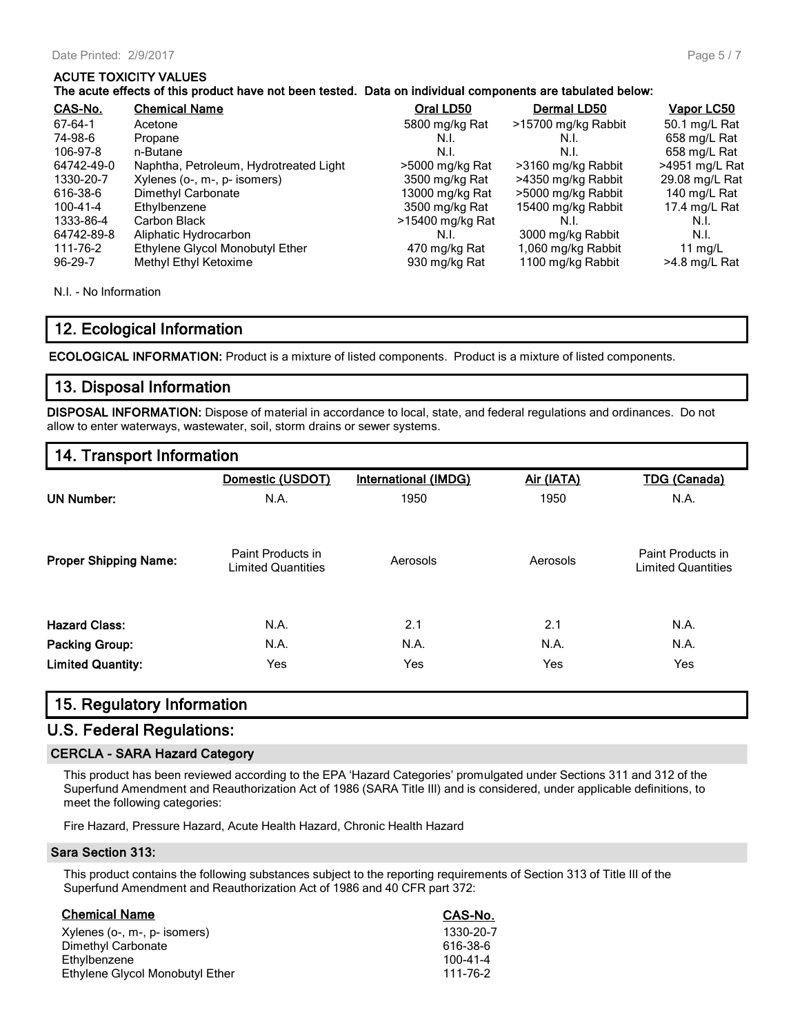#### **ACUTE TOXICITY VALUES**

#### **The acute effects of this product have not been tested. Data on individual components are tabulated below:**

| CAS-No.        | <b>Chemical Name</b>                   | Oral LD50        | Dermal LD50         | Vapor LC50       |
|----------------|----------------------------------------|------------------|---------------------|------------------|
| 67-64-1        | Acetone                                | 5800 mg/kg Rat   | >15700 mg/kg Rabbit | 50.1 mg/L Rat    |
| 74-98-6        | Propane                                | N.I.             | N.I.                | 658 mg/L Rat     |
| 106-97-8       | n-Butane                               | N.I.             | N.I.                | 658 mg/L Rat     |
| 64742-49-0     | Naphtha, Petroleum, Hydrotreated Light | >5000 mg/kg Rat  | >3160 mg/kg Rabbit  | $>4951$ mg/L Rat |
| 1330-20-7      | Xylenes (o-, m-, p- isomers)           | 3500 mg/kg Rat   | >4350 mg/kg Rabbit  | 29.08 mg/L Rat   |
| 616-38-6       | Dimethyl Carbonate                     | 13000 mg/kg Rat  | >5000 mg/kg Rabbit  | 140 mg/L Rat     |
| $100 - 41 - 4$ | Ethylbenzene                           | 3500 mg/kg Rat   | 15400 mg/kg Rabbit  | 17.4 mg/L Rat    |
| 1333-86-4      | Carbon Black                           | >15400 mg/kg Rat | N.I.                | N.I.             |
| 64742-89-8     | Aliphatic Hydrocarbon                  | N.I.             | 3000 mg/kg Rabbit   | N.I.             |
| 111-76-2       | Ethylene Glycol Monobutyl Ether        | 470 mg/kg Rat    | 1,060 mg/kg Rabbit  | 11 $mq/L$        |
| $96 - 29 - 7$  | Methyl Ethyl Ketoxime                  | 930 mg/kg Rat    | 1100 mg/kg Rabbit   | >4.8 mg/L Rat    |

N.I. - No Information

## **12. Ecological Information**

**ECOLOGICAL INFORMATION:** Product is a mixture of listed components. Product is a mixture of listed components.

### **13. Disposal Information**

**DISPOSAL INFORMATION:** Dispose of material in accordance to local, state, and federal regulations and ordinances. Do not allow to enter waterways, wastewater, soil, storm drains or sewer systems.

## **14. Transport Information**

|                              | Domestic (USDOT)                               | <b>International (IMDG)</b> | Air (IATA) | <b>TDG (Canada)</b>                            |
|------------------------------|------------------------------------------------|-----------------------------|------------|------------------------------------------------|
| <b>UN Number:</b>            | N.A.                                           | 1950                        | 1950       | N.A.                                           |
| <b>Proper Shipping Name:</b> | Paint Products in<br><b>Limited Quantities</b> | Aerosols                    | Aerosols   | Paint Products in<br><b>Limited Quantities</b> |
| <b>Hazard Class:</b>         | N.A.                                           | 2.1                         | 2.1        | N.A.                                           |
| <b>Packing Group:</b>        | N.A.                                           | N.A.                        | N.A.       | N.A.                                           |
| <b>Limited Quantity:</b>     | Yes                                            | Yes                         | Yes        | Yes                                            |

#### **15. Regulatory Information**

## **U.S. Federal Regulations:**

#### **CERCLA - SARA Hazard Category**

This product has been reviewed according to the EPA 'Hazard Categories' promulgated under Sections 311 and 312 of the Superfund Amendment and Reauthorization Act of 1986 (SARA Title III) and is considered, under applicable definitions, to meet the following categories:

Fire Hazard, Pressure Hazard, Acute Health Hazard, Chronic Health Hazard

#### **Sara Section 313:**

This product contains the following substances subject to the reporting requirements of Section 313 of Title III of the Superfund Amendment and Reauthorization Act of 1986 and 40 CFR part 372:

| <b>Chemical Name</b>            | CAS-No.        |
|---------------------------------|----------------|
| Xylenes (o-, m-, p- isomers)    | 1330-20-7      |
| Dimethyl Carbonate              | 616-38-6       |
| Ethylbenzene                    | $100 - 41 - 4$ |
| Ethylene Glycol Monobutyl Ether | 111-76-2       |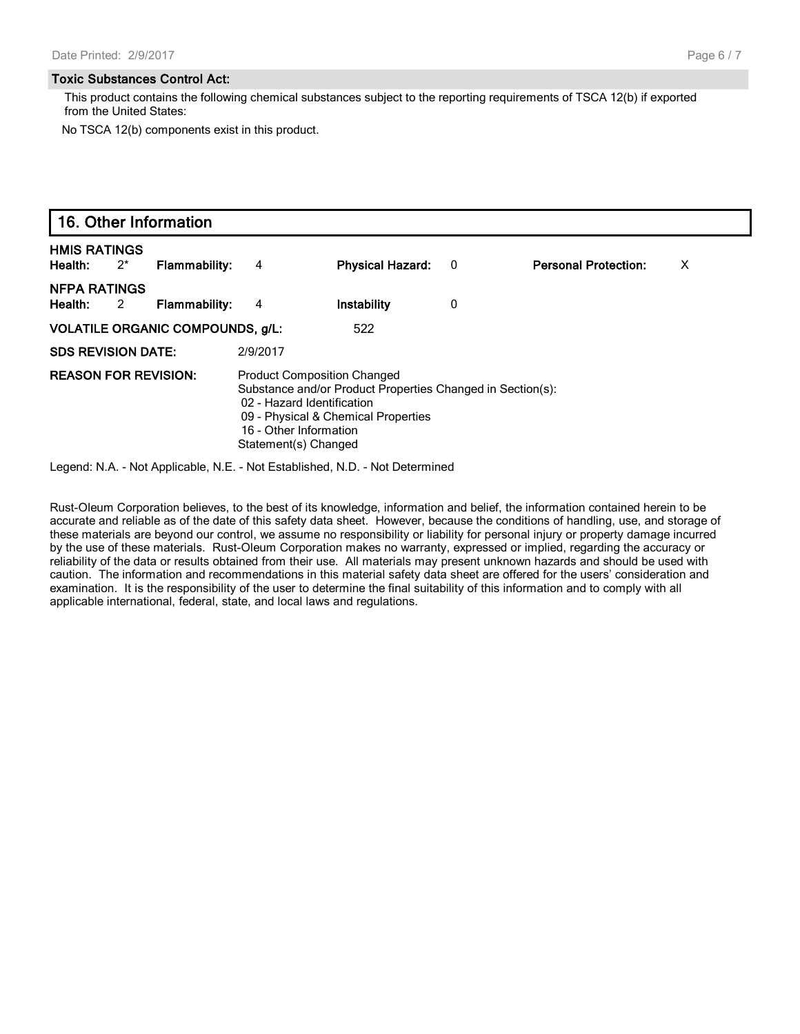#### **Toxic Substances Control Act:**

This product contains the following chemical substances subject to the reporting requirements of TSCA 12(b) if exported from the United States:

No TSCA 12(b) components exist in this product.

|                                | 16. Other Information   |                                         |                |                                                                                                                                                                                                                         |     |                             |   |  |
|--------------------------------|-------------------------|-----------------------------------------|----------------|-------------------------------------------------------------------------------------------------------------------------------------------------------------------------------------------------------------------------|-----|-----------------------------|---|--|
| <b>HMIS RATINGS</b><br>Health: | $2^*$                   | Flammability:                           | 4              | <b>Physical Hazard:</b>                                                                                                                                                                                                 | - 0 | <b>Personal Protection:</b> | X |  |
| <b>NFPA RATINGS</b><br>Health: | $\overline{\mathbf{c}}$ | Flammability:                           | $\overline{4}$ | Instability                                                                                                                                                                                                             | 0   |                             |   |  |
|                                |                         | <b>VOLATILE ORGANIC COMPOUNDS, g/L:</b> |                | 522                                                                                                                                                                                                                     |     |                             |   |  |
| <b>SDS REVISION DATE:</b>      |                         |                                         | 2/9/2017       |                                                                                                                                                                                                                         |     |                             |   |  |
| <b>REASON FOR REVISION:</b>    |                         |                                         |                | <b>Product Composition Changed</b><br>Substance and/or Product Properties Changed in Section(s):<br>02 - Hazard Identification<br>09 - Physical & Chemical Properties<br>16 - Other Information<br>Statement(s) Changed |     |                             |   |  |

Legend: N.A. - Not Applicable, N.E. - Not Established, N.D. - Not Determined

Rust-Oleum Corporation believes, to the best of its knowledge, information and belief, the information contained herein to be accurate and reliable as of the date of this safety data sheet. However, because the conditions of handling, use, and storage of these materials are beyond our control, we assume no responsibility or liability for personal injury or property damage incurred by the use of these materials. Rust-Oleum Corporation makes no warranty, expressed or implied, regarding the accuracy or reliability of the data or results obtained from their use. All materials may present unknown hazards and should be used with caution. The information and recommendations in this material safety data sheet are offered for the users' consideration and examination. It is the responsibility of the user to determine the final suitability of this information and to comply with all applicable international, federal, state, and local laws and regulations.